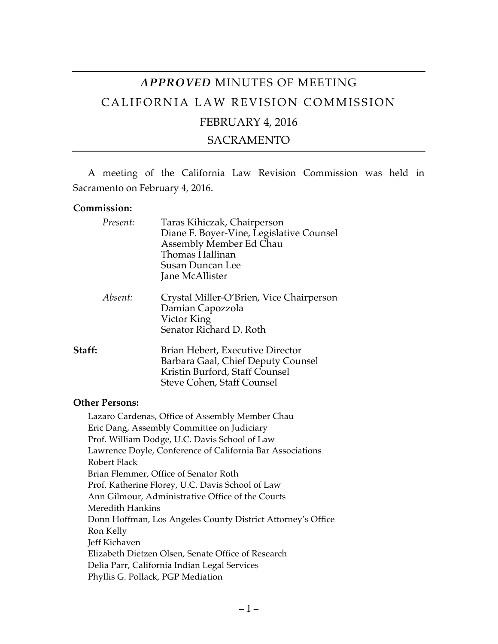# *APPROVED* MINUTES OF MEETING CALIFORNIA LAW REVISION COMMISSION FEBRUARY 4, 2016

## SACRAMENTO

A meeting of the California Law Revision Commission was held in Sacramento on February 4, 2016.

#### **Commission:**

| Present: | Taras Kihiczak, Chairperson<br>Diane F. Boyer-Vine, Legislative Counsel<br>Assembly Member Ed Chau<br>Thomas Hallinan<br><b>Susan Duncan Lee</b><br>Jane McAllister |
|----------|---------------------------------------------------------------------------------------------------------------------------------------------------------------------|
| Absent:  | Crystal Miller-O'Brien, Vice Chairperson<br>Damian Capozzola<br>Victor King<br>Senator Richard D. Roth                                                              |
| Staff:   | Brian Hebert, Executive Director<br>Barbara Gaal, Chief Deputy Counsel<br>Kristin Burford, Staff Counsel<br>Steve Cohen, Staff Counsel                              |

#### **Other Persons:**

Lazaro Cardenas, Office of Assembly Member Chau Eric Dang, Assembly Committee on Judiciary Prof. William Dodge, U.C. Davis School of Law Lawrence Doyle, Conference of California Bar Associations Robert Flack Brian Flemmer, Office of Senator Roth Prof. Katherine Florey, U.C. Davis School of Law Ann Gilmour, Administrative Office of the Courts Meredith Hankins Donn Hoffman, Los Angeles County District Attorney's Office Ron Kelly Jeff Kichaven Elizabeth Dietzen Olsen, Senate Office of Research Delia Parr, California Indian Legal Services Phyllis G. Pollack, PGP Mediation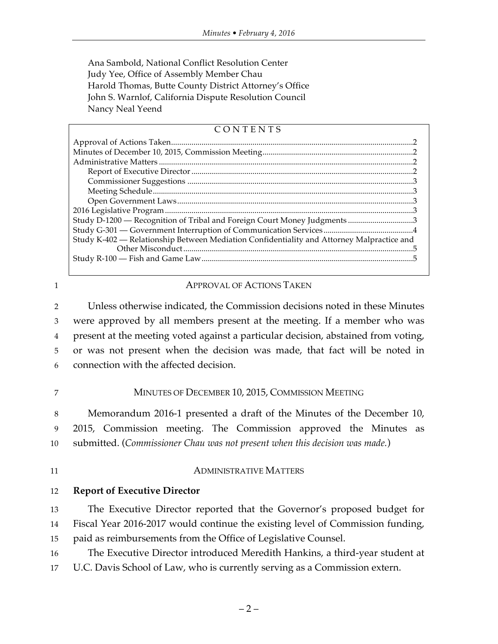Ana Sambold, National Conflict Resolution Center Judy Yee, Office of Assembly Member Chau Harold Thomas, Butte County District Attorney's Office John S. Warnlof, California Dispute Resolution Council Nancy Neal Yeend

## CONTENTS

| Study D-1200 - Recognition of Tribal and Foreign Court Money Judgments 3                  |  |
|-------------------------------------------------------------------------------------------|--|
|                                                                                           |  |
| Study K-402 - Relationship Between Mediation Confidentiality and Attorney Malpractice and |  |
|                                                                                           |  |
|                                                                                           |  |
|                                                                                           |  |

### 1 **APPROVAL OF ACTIONS TAKEN**

 Unless otherwise indicated, the Commission decisions noted in these Minutes were approved by all members present at the meeting. If a member who was present at the meeting voted against a particular decision, abstained from voting, or was not present when the decision was made, that fact will be noted in connection with the affected decision.

#### 7 MINUTES OF DECEMBER 10, 2015, COMMISSION MEETING

8 Memorandum 2016-1 presented a draft of the Minutes of the December 10, 9 2015, Commission meeting. The Commission approved the Minutes as 10 submitted. (*Commissioner Chau was not present when this decision was made.*)

## 11 ADMINISTRATIVE MATTERS

12 **Report of Executive Director**

13 The Executive Director reported that the Governor's proposed budget for 14 Fiscal Year 2016-2017 would continue the existing level of Commission funding, 15 paid as reimbursements from the Office of Legislative Counsel.

- 16 The Executive Director introduced Meredith Hankins, a third-year student at
- 17 U.C. Davis School of Law, who is currently serving as a Commission extern.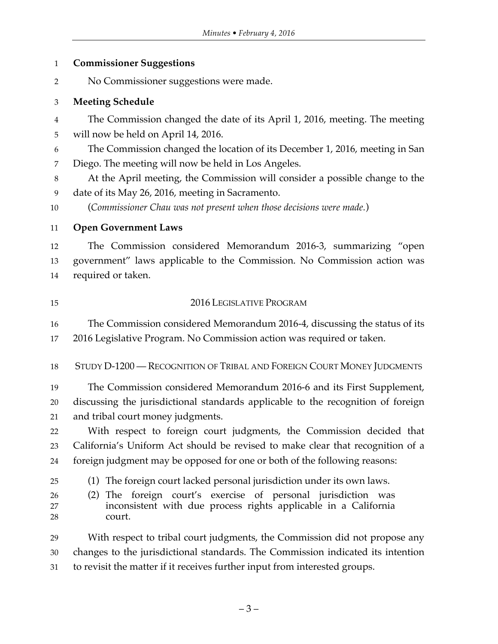## **Commissioner Suggestions**

No Commissioner suggestions were made.

## **Meeting Schedule**

 The Commission changed the date of its April 1, 2016, meeting. The meeting will now be held on April 14, 2016.

 The Commission changed the location of its December 1, 2016, meeting in San Diego. The meeting will now be held in Los Angeles.

 At the April meeting, the Commission will consider a possible change to the date of its May 26, 2016, meeting in Sacramento.

(*Commissioner Chau was not present when those decisions were made.*)

# **Open Government Laws**

 The Commission considered Memorandum 2016-3, summarizing "open government" laws applicable to the Commission. No Commission action was required or taken.

# 2016 LEGISLATIVE PROGRAM

 The Commission considered Memorandum 2016-4, discussing the status of its 2016 Legislative Program. No Commission action was required or taken.

# STUDY D-1200 — RECOGNITION OF TRIBAL AND FOREIGN COURT MONEY JUDGMENTS

 The Commission considered Memorandum 2016-6 and its First Supplement, discussing the jurisdictional standards applicable to the recognition of foreign and tribal court money judgments.

 With respect to foreign court judgments, the Commission decided that California's Uniform Act should be revised to make clear that recognition of a foreign judgment may be opposed for one or both of the following reasons:

(1) The foreign court lacked personal jurisdiction under its own laws.

 (2) The foreign court's exercise of personal jurisdiction was inconsistent with due process rights applicable in a California court.

 With respect to tribal court judgments, the Commission did not propose any changes to the jurisdictional standards. The Commission indicated its intention to revisit the matter if it receives further input from interested groups.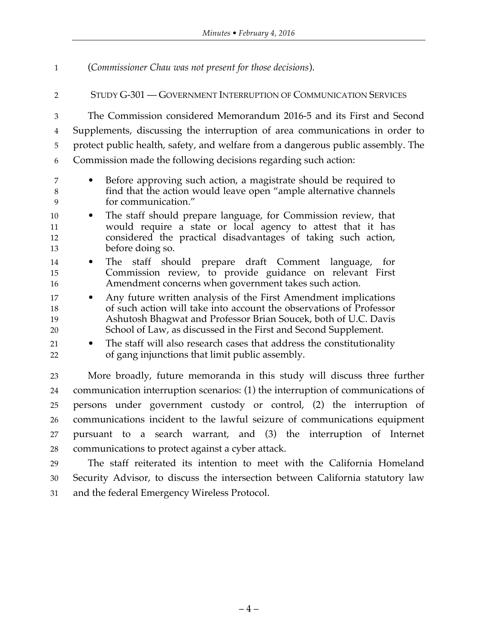(*Commissioner Chau was not present for those decisions*).

## STUDY G-301 — GOVERNMENT INTERRUPTION OF COMMUNICATION SERVICES

 The Commission considered Memorandum 2016-5 and its First and Second Supplements, discussing the interruption of area communications in order to protect public health, safety, and welfare from a dangerous public assembly. The Commission made the following decisions regarding such action:

- Before approving such action, a magistrate should be required to find that the action would leave open "ample alternative channels for communication."
- The staff should prepare language, for Commission review, that would require a state or local agency to attest that it has considered the practical disadvantages of taking such action, before doing so.
- The staff should prepare draft Comment language, for Commission review, to provide guidance on relevant First Amendment concerns when government takes such action.
- Any future written analysis of the First Amendment implications of such action will take into account the observations of Professor Ashutosh Bhagwat and Professor Brian Soucek, both of U.C. Davis School of Law, as discussed in the First and Second Supplement.
- 21 The staff will also research cases that address the constitutionality of gang injunctions that limit public assembly.

 More broadly, future memoranda in this study will discuss three further communication interruption scenarios: (1) the interruption of communications of persons under government custody or control, (2) the interruption of communications incident to the lawful seizure of communications equipment pursuant to a search warrant, and (3) the interruption of Internet communications to protect against a cyber attack.

 The staff reiterated its intention to meet with the California Homeland Security Advisor, to discuss the intersection between California statutory law and the federal Emergency Wireless Protocol.